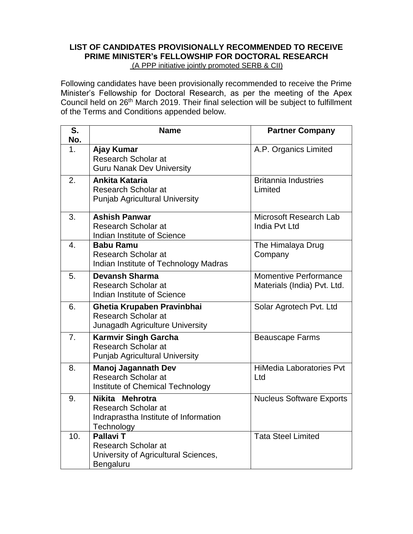## **LIST OF CANDIDATES PROVISIONALLY RECOMMENDED TO RECEIVE PRIME MINISTER's FELLOWSHIP FOR DOCTORAL RESEARCH**  (A PPP initiative jointly promoted SERB & CII)

Following candidates have been provisionally recommended to receive the Prime Minister's Fellowship for Doctoral Research, as per the meeting of the Apex Council held on 26th March 2019. Their final selection will be subject to fulfillment of the Terms and Conditions appended below.

| S.        | <b>Name</b>                                                                                         | <b>Partner Company</b>                                      |
|-----------|-----------------------------------------------------------------------------------------------------|-------------------------------------------------------------|
| No.<br>1. | Ajay Kumar<br><b>Research Scholar at</b><br><b>Guru Nanak Dev University</b>                        | A.P. Organics Limited                                       |
| 2.        | <b>Ankita Kataria</b><br><b>Research Scholar at</b><br><b>Punjab Agricultural University</b>        | <b>Britannia Industries</b><br>Limited                      |
| 3.        | <b>Ashish Panwar</b><br><b>Research Scholar at</b><br>Indian Institute of Science                   | Microsoft Research Lab<br>India Pvt Ltd                     |
| 4.        | <b>Babu Ramu</b><br><b>Research Scholar at</b><br>Indian Institute of Technology Madras             | The Himalaya Drug<br>Company                                |
| 5.        | <b>Devansh Sharma</b><br>Research Scholar at<br>Indian Institute of Science                         | <b>Momentive Performance</b><br>Materials (India) Pvt. Ltd. |
| 6.        | Ghetia Krupaben Pravinbhai<br>Research Scholar at<br>Junagadh Agriculture University                | Solar Agrotech Pvt. Ltd                                     |
| 7.        | <b>Karmvir Singh Garcha</b><br><b>Research Scholar at</b><br><b>Punjab Agricultural University</b>  | <b>Beauscape Farms</b>                                      |
| 8.        | <b>Manoj Jagannath Dev</b><br><b>Research Scholar at</b><br>Institute of Chemical Technology        | <b>HiMedia Laboratories Pvt</b><br>Ltd                      |
| 9.        | Nikita Mehrotra<br>Research Scholar at<br>Indraprastha Institute of Information<br>Technology       | <b>Nucleus Software Exports</b>                             |
| 10.       | <b>Pallavi T</b><br><b>Research Scholar at</b><br>University of Agricultural Sciences,<br>Bengaluru | <b>Tata Steel Limited</b>                                   |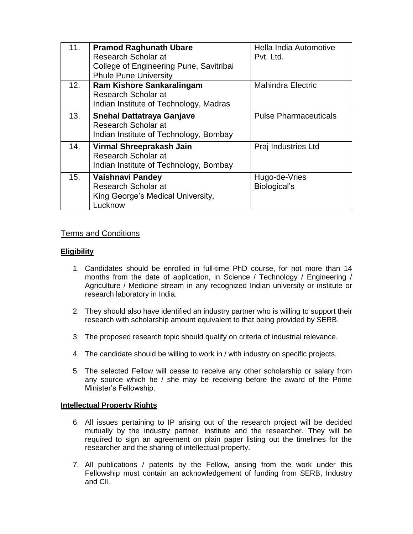| 11. | <b>Pramod Raghunath Ubare</b><br>Research Scholar at<br>College of Engineering Pune, Savitribai<br><b>Phule Pune University</b> | Hella India Automotive<br>Pvt. Ltd. |
|-----|---------------------------------------------------------------------------------------------------------------------------------|-------------------------------------|
| 12. | <b>Ram Kishore Sankaralingam</b><br>Research Scholar at<br>Indian Institute of Technology, Madras                               | <b>Mahindra Electric</b>            |
| 13. | <b>Snehal Dattatraya Ganjave</b><br>Research Scholar at<br>Indian Institute of Technology, Bombay                               | <b>Pulse Pharmaceuticals</b>        |
| 14. | Virmal Shreeprakash Jain<br>Research Scholar at<br>Indian Institute of Technology, Bombay                                       | Praj Industries Ltd                 |
| 15. | <b>Vaishnavi Pandey</b><br>Research Scholar at<br>King George's Medical University,<br>Lucknow                                  | Hugo-de-Vries<br>Biological's       |

# Terms and Conditions

# **Eligibility**

- 1. Candidates should be enrolled in full-time PhD course, for not more than 14 months from the date of application, in Science / Technology / Engineering / Agriculture / Medicine stream in any recognized Indian university or institute or research laboratory in India.
- 2. They should also have identified an industry partner who is willing to support their research with scholarship amount equivalent to that being provided by SERB.
- 3. The proposed research topic should qualify on criteria of industrial relevance.
- 4. The candidate should be willing to work in / with industry on specific projects.
- 5. The selected Fellow will cease to receive any other scholarship or salary from any source which he / she may be receiving before the award of the Prime Minister's Fellowship.

## **Intellectual Property Rights**

- 6. All issues pertaining to IP arising out of the research project will be decided mutually by the industry partner, institute and the researcher. They will be required to sign an agreement on plain paper listing out the timelines for the researcher and the sharing of intellectual property.
- 7. All publications / patents by the Fellow, arising from the work under this Fellowship must contain an acknowledgement of funding from SERB, Industry and CII.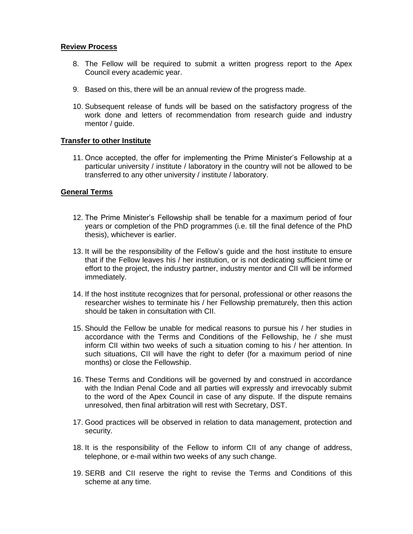#### **Review Process**

- 8. The Fellow will be required to submit a written progress report to the Apex Council every academic year.
- 9. Based on this, there will be an annual review of the progress made.
- 10. Subsequent release of funds will be based on the satisfactory progress of the work done and letters of recommendation from research guide and industry mentor / guide.

#### **Transfer to other Institute**

11. Once accepted, the offer for implementing the Prime Minister's Fellowship at a particular university / institute / laboratory in the country will not be allowed to be transferred to any other university / institute / laboratory.

#### **General Terms**

- 12. The Prime Minister's Fellowship shall be tenable for a maximum period of four years or completion of the PhD programmes (i.e. till the final defence of the PhD thesis), whichever is earlier.
- 13. It will be the responsibility of the Fellow's guide and the host institute to ensure that if the Fellow leaves his / her institution, or is not dedicating sufficient time or effort to the project, the industry partner, industry mentor and CII will be informed immediately.
- 14. If the host institute recognizes that for personal, professional or other reasons the researcher wishes to terminate his / her Fellowship prematurely, then this action should be taken in consultation with CII.
- 15. Should the Fellow be unable for medical reasons to pursue his / her studies in accordance with the Terms and Conditions of the Fellowship, he / she must inform CII within two weeks of such a situation coming to his / her attention. In such situations, CII will have the right to defer (for a maximum period of nine months) or close the Fellowship.
- 16. These Terms and Conditions will be governed by and construed in accordance with the Indian Penal Code and all parties will expressly and irrevocably submit to the word of the Apex Council in case of any dispute. If the dispute remains unresolved, then final arbitration will rest with Secretary, DST.
- 17. Good practices will be observed in relation to data management, protection and security.
- 18. It is the responsibility of the Fellow to inform CII of any change of address, telephone, or e-mail within two weeks of any such change.
- 19. SERB and CII reserve the right to revise the Terms and Conditions of this scheme at any time.